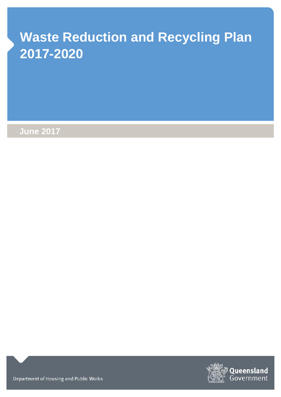# **Waste Reduction and Recycling Plan 2017-2020**

**June 2017**



Department of Housing and Public Works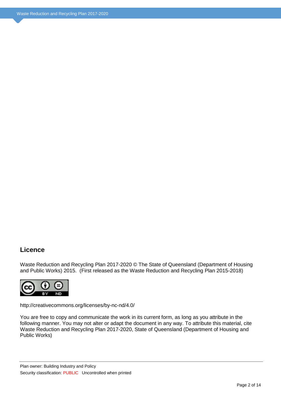#### **Licence**

Waste Reduction and Recycling Plan 2017-2020 © The State of Queensland (Department of Housing and Public Works) 2015. (First released as the Waste Reduction and Recycling Plan 2015-2018)



http://creativecommons.org/licenses/by-nc-nd/4.0/

You are free to copy and communicate the work in its current form, as long as you attribute in the following manner. You may not alter or adapt the document in any way. To attribute this material, cite Waste Reduction and Recycling Plan 2017-2020, State of Queensland (Department of Housing and Public Works)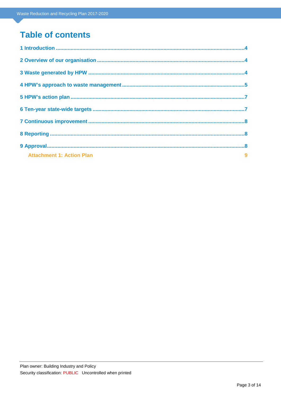# **Table of contents**

| $\overline{\phantom{a}}$<br><b>Attachment 1: Action Plan</b> |  |
|--------------------------------------------------------------|--|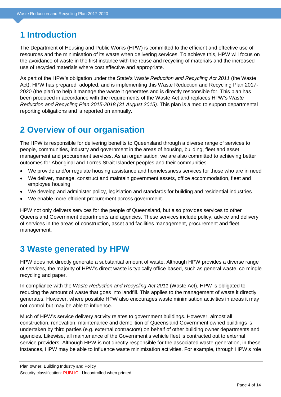# <span id="page-3-0"></span>**1 Introduction**

The Department of Housing and Public Works (HPW) is committed to the efficient and effective use of resources and the minimisation of its waste when delivering services. To achieve this, HPW will focus on the avoidance of waste in the first instance with the reuse and recycling of materials and the increased use of recycled materials where cost effective and appropriate.

As part of the HPW's obligation under the State's *Waste Reduction and Recycling Act 2011* (the Waste Act), HPW has prepared, adopted, and is implementing this Waste Reduction and Recycling Plan 2017- 2020 (the plan) to help it manage the waste it generates and is directly responsible for. This plan has been produced in accordance with the requirements of the Waste Act and replaces HPW's *Waste Reduction and Recycling Plan 2015-2018 (31 August 2015)*. This plan is aimed to support departmental reporting obligations and is reported on annually.

# <span id="page-3-1"></span>**2 Overview of our organisation**

The HPW is responsible for delivering benefits to Queensland through a diverse range of services to people, communities, industry and government in the areas of housing, building, fleet and asset management and procurement services. As an organisation, we are also committed to achieving better outcomes for Aboriginal and Torres Strait Islander peoples and their communities.

- We provide and/or regulate housing assistance and homelessness services for those who are in need
- We deliver, manage, construct and maintain government assets, office accommodation, fleet and employee housing
- We develop and administer policy, legislation and standards for building and residential industries
- We enable more efficient procurement across government.

HPW not only delivers services for the people of Queensland, but also provides services to other Queensland Government departments and agencies. These services include policy, advice and delivery of services in the areas of construction, asset and facilities management, procurement and fleet management.

# <span id="page-3-2"></span>**3 Waste generated by HPW**

HPW does not directly generate a substantial amount of waste. Although HPW provides a diverse range of services, the majority of HPW's direct waste is typically office-based, such as general waste, co-mingle recycling and paper.

In compliance with the *Waste Reduction and Recycling Act 2011* (Waste Act), HPW is obligated to reducing the amount of waste that goes into landfill. This applies to the management of waste it directly generates. However, where possible HPW also encourages waste minimisation activities in areas it may not control but may be able to influence.

Much of HPW's service delivery activity relates to government buildings. However, almost all construction, renovation, maintenance and demolition of Queensland Government owned buildings is undertaken by third parties (e.g. external contractors) on behalf of other building owner departments and agencies. Likewise, all maintenance of the Government's vehicle fleet is contracted out to external service providers. Although HPW is not directly responsible for the associated waste generation, in these instances, HPW may be able to influence waste minimisation activities. For example, through HPW's role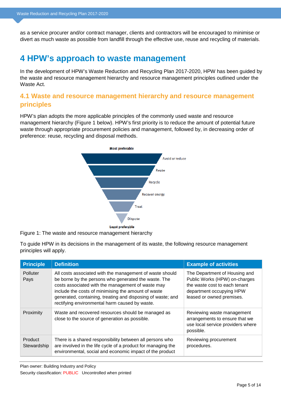as a service procurer and/or contract manager, clients and contractors will be encouraged to minimise or divert as much waste as possible from landfill through the effective use, reuse and recycling of materials.

### <span id="page-4-0"></span>**4 HPW's approach to waste management**

In the development of HPW's Waste Reduction and Recycling Plan 2017-2020, HPW has been guided by the waste and resource management hierarchy and resource management principles outlined under the Waste Act.

#### **4.1 Waste and resource management hierarchy and resource management principles**

HPW's plan adopts the more applicable principles of the commonly used waste and resource management hierarchy (Figure 1 below). HPW's first priority is to reduce the amount of potential future waste through appropriate procurement policies and management, followed by, in decreasing order of preference: reuse, recycling and disposal methods.



Figure 1: The waste and resource management hierarchy

To guide HPW in its decisions in the management of its waste, the following resource management principles will apply.

| <b>Principle</b>       | <b>Definition</b>                                                                                                                                                                                                                                                                                                                             | <b>Example of activities</b>                                                                                                                             |
|------------------------|-----------------------------------------------------------------------------------------------------------------------------------------------------------------------------------------------------------------------------------------------------------------------------------------------------------------------------------------------|----------------------------------------------------------------------------------------------------------------------------------------------------------|
| Polluter<br>Pays       | All costs associated with the management of waste should<br>be borne by the persons who generated the waste. The<br>costs associated with the management of waste may<br>include the costs of minimising the amount of waste<br>generated, containing, treating and disposing of waste; and<br>rectifying environmental harm caused by waste. | The Department of Housing and<br>Public Works (HPW) on-charges<br>the waste cost to each tenant<br>department occupying HPW<br>leased or owned premises. |
| Proximity              | Waste and recovered resources should be managed as<br>close to the source of generation as possible.                                                                                                                                                                                                                                          | Reviewing waste management<br>arrangements to ensure that we<br>use local service providers where<br>possible.                                           |
| Product<br>Stewardship | There is a shared responsibility between all persons who<br>are involved in the life cycle of a product for managing the<br>environmental, social and economic impact of the product                                                                                                                                                          | Reviewing procurement<br>procedures.                                                                                                                     |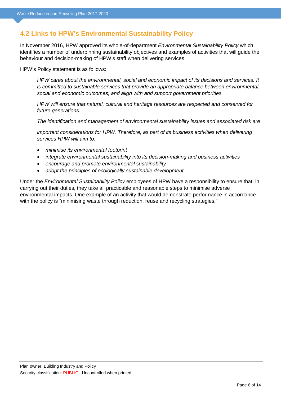#### **4.2 Links to HPW's Environmental Sustainability Policy**

In November 2016, HPW approved its whole-of-department *Environmental Sustainability Policy* which identifies a number of underpinning sustainability objectives and examples of activities that will guide the behaviour and decision-making of HPW's staff when delivering services.

HPW's Policy statement is as follows:

*HPW cares about the environmental, social and economic impact of its decisions and services. It is committed to sustainable services that provide an appropriate balance between environmental, social and economic outcomes; and align with and support government priorities.*

*HPW will ensure that natural, cultural and heritage resources are respected and conserved for future generations.*

*The identification and management of environmental sustainability issues and associated risk are*

*important considerations for HPW. Therefore, as part of its business activities when delivering services HPW will aim to:*

- *minimise its environmental footprint*
- *integrate environmental sustainability into its decision-making and business activities*
- *encourage and promote environmental sustainability*
- *adopt the principles of ecologically sustainable development.*

Under the *Environmental Sustainability Policy* employees of HPW have a responsibility to ensure that, in carrying out their duties, they take all practicable and reasonable steps to minimise adverse environmental impacts. One example of an activity that would demonstrate performance in accordance with the policy is "minimising waste through reduction, reuse and recycling strategies."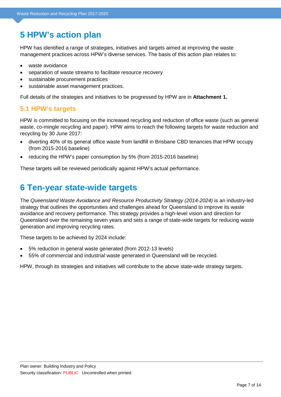# <span id="page-6-0"></span>**5 HPW's action plan**

HPW has identified a range of strategies, initiatives and targets aimed at improving the waste management practices across HPW's diverse services. The basis of this action plan relates to:

- waste avoidance
- separation of waste streams to facilitate resource recovery
- sustainable procurement practices
- sustainable asset management practices.

Full details of the strategies and initiatives to be progressed by HPW are in **Attachment 1.**

#### **5.1 HPW's targets**

HPW is committed to focusing on the increased recycling and reduction of office waste (such as general waste, co-mingle recycling and paper). HPW aims to reach the following targets for waste reduction and recycling by 30 June 2017:

- diverting 40% of its general office waste from landfill in Brisbane CBD tenancies that HPW occupy (from 2015-2016 baseline)
- reducing the HPW's paper consumption by 5% (from 2015-2016 baseline)

<span id="page-6-1"></span>These targets will be reviewed periodically against HPW's actual performance.

### **6 Ten-year state-wide targets**

The *Queensland Waste Avoidance and Resource Productivity Strategy (2014-2024)* is an industry-led strategy that outlines the opportunities and challenges ahead for Queensland to improve its waste avoidance and recovery performance. This strategy provides a high-level vision and direction for Queensland over the remaining seven years and sets a range of state-wide targets for reducing waste generation and improving recycling rates.

These targets to be achieved by 2024 include:

- 5% reduction in general waste generated (from 2012-13 levels)
- 55% of commercial and industrial waste generated in Queensland will be recycled.

HPW, through its strategies and initiatives will contribute to the above state-wide strategy targets.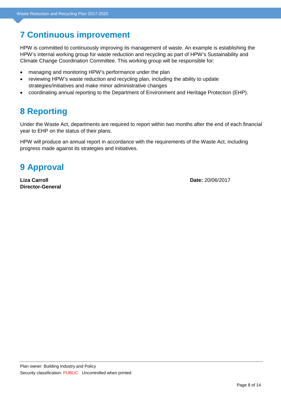# <span id="page-7-0"></span>**7 Continuous improvement**

HPW is committed to continuously improving its management of waste. An example is establishing the HPW's internal working group for waste reduction and recycling as part of HPW's Sustainability and Climate Change Coordination Committee. This working group will be responsible for:

- managing and monitoring HPW's performance under the plan
- reviewing HPW's waste reduction and recycling plan, including the ability to update strategies/initiatives and make minor administrative changes
- <span id="page-7-1"></span>• coordinating annual reporting to the Department of Environment and Heritage Protection (EHP).

# **8 Reporting**

Under the Waste Act, departments are required to report within two months after the end of each financial year to EHP on the status of their plans.

HPW will produce an annual report in accordance with the requirements of the Waste Act, including progress made against its strategies and initiatives.

# <span id="page-7-2"></span>**9 Approval**

**Liza Carroll Date:** 20/06/2017 **Director-General**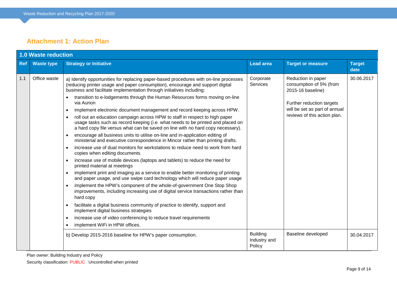#### **Attachment 1: Action Plan**

<span id="page-8-0"></span>

|            | <b>1.0 Waste reduction</b> |                                                                                                                                                                                                                                                                                                                                                                                                                                                                                                                                                                                                                                                                                                                                                                                                                                                                                                                                                                                                                                                                                                                                                                                                                                                                                                                                                                                                                                                                                                                                                                                                                                                                                                                                                    |                                           |                                                                                                                                                                  |                       |  |  |
|------------|----------------------------|----------------------------------------------------------------------------------------------------------------------------------------------------------------------------------------------------------------------------------------------------------------------------------------------------------------------------------------------------------------------------------------------------------------------------------------------------------------------------------------------------------------------------------------------------------------------------------------------------------------------------------------------------------------------------------------------------------------------------------------------------------------------------------------------------------------------------------------------------------------------------------------------------------------------------------------------------------------------------------------------------------------------------------------------------------------------------------------------------------------------------------------------------------------------------------------------------------------------------------------------------------------------------------------------------------------------------------------------------------------------------------------------------------------------------------------------------------------------------------------------------------------------------------------------------------------------------------------------------------------------------------------------------------------------------------------------------------------------------------------------------|-------------------------------------------|------------------------------------------------------------------------------------------------------------------------------------------------------------------|-----------------------|--|--|
| <b>Ref</b> | <b>Waste type</b>          | <b>Strategy or Initiative</b>                                                                                                                                                                                                                                                                                                                                                                                                                                                                                                                                                                                                                                                                                                                                                                                                                                                                                                                                                                                                                                                                                                                                                                                                                                                                                                                                                                                                                                                                                                                                                                                                                                                                                                                      | <b>Lead area</b>                          | <b>Target or measure</b>                                                                                                                                         | <b>Target</b><br>date |  |  |
| 1.1        | Office waste               | a) Identify opportunities for replacing paper-based procedures with on-line processes<br>(reducing printer usage and paper consumption), encourage and support digital<br>business and facilitate implementation through initiatives including:<br>transition to e-lodgements through the Human Resources forms moving on-line<br>via Aurion<br>implement electronic document management and record keeping across HPW.<br>$\bullet$<br>roll out an education campaign across HPW to staff in respect to high paper<br>$\bullet$<br>usage tasks such as record keeping (i.e. what needs to be printed and placed on<br>a hard copy file versus what can be saved on line with no hard copy necessary).<br>encourage all business units to utilise on-line and in-application editing of<br>ministerial and executive correspondence in Mincor rather than printing drafts.<br>increase use of dual monitors for workstations to reduce need to work from hard<br>$\bullet$<br>copies when editing documents.<br>increase use of mobile devices (laptops and tablets) to reduce the need for<br>printed material at meetings<br>implement print and imaging as a service to enable better monitoring of printing<br>and paper usage, and use swipe card technology which will reduce paper usage<br>implement the HPW's component of the whole-of-government One Stop Shop<br>$\bullet$<br>improvements, including increasing use of digital service transactions rather than<br>hard copy<br>facilitate a digital business community of practice to identify, support and<br>implement digital business strategies<br>increase use of video conferencing to reduce travel requirements<br>$\bullet$<br>implement WiFi in HPW offices.<br>$\bullet$ | Corporate<br>Services                     | Reduction in paper<br>consumption of 5% (from<br>2015-16 baseline)<br>Further reduction targets<br>will be set as part of annual<br>reviews of this action plan. | 30.06.2017            |  |  |
|            |                            | b) Develop 2015-2016 baseline for HPW's paper consumption.                                                                                                                                                                                                                                                                                                                                                                                                                                                                                                                                                                                                                                                                                                                                                                                                                                                                                                                                                                                                                                                                                                                                                                                                                                                                                                                                                                                                                                                                                                                                                                                                                                                                                         | <b>Building</b><br>Industry and<br>Policy | Baseline developed                                                                                                                                               | 30.04.2017            |  |  |

Plan owner: Building Industry and Policy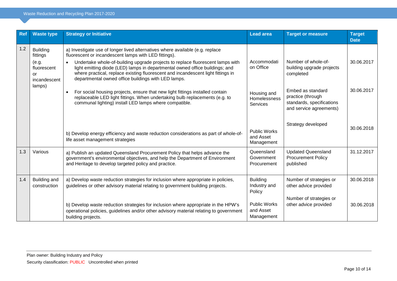| <b>Ref</b> | <b>Waste type</b>                                                         | <b>Strategy or Initiative</b>                                                                                                                                                                                                                                                                                                                                                                                                                                    | <b>Lead area</b>                               | <b>Target or measure</b>                                                                       | <b>Target</b><br><b>Date</b> |
|------------|---------------------------------------------------------------------------|------------------------------------------------------------------------------------------------------------------------------------------------------------------------------------------------------------------------------------------------------------------------------------------------------------------------------------------------------------------------------------------------------------------------------------------------------------------|------------------------------------------------|------------------------------------------------------------------------------------------------|------------------------------|
| 1.2        | <b>Building</b><br>fittings<br>(e.g.<br>fluorescent<br>or<br>incandescent | a) Investigate use of longer lived alternatives where available (e.g. replace<br>fluorescent or incandescent lamps with LED fittings).<br>Undertake whole-of-building upgrade projects to replace fluorescent lamps with<br>$\bullet$<br>light emitting diode (LED) lamps in departmental owned office buildings; and<br>where practical, replace existing fluorescent and incandescent light fittings in<br>departmental owned office buildings with LED lamps. | Accommodati<br>on Office                       | Number of whole-of-<br>building upgrade projects<br>completed                                  | 30.06.2017                   |
|            | lamps)                                                                    | For social housing projects, ensure that new light fittings installed contain<br>$\bullet$<br>replaceable LED light fittings. When undertaking bulb replacements (e.g. to<br>communal lighting) install LED lamps where compatible.                                                                                                                                                                                                                              | Housing and<br>Homelessness<br>Services        | Embed as standard<br>practice (through<br>standards, specifications<br>and service agreements) | 30.06.2017                   |
|            |                                                                           | b) Develop energy efficiency and waste reduction considerations as part of whole-of-<br>life asset management strategies                                                                                                                                                                                                                                                                                                                                         | <b>Public Works</b><br>and Asset<br>Management | Strategy developed                                                                             | 30.06.2018                   |
| 1.3        | Various                                                                   | a) Publish an updated Queensland Procurement Policy that helps advance the<br>government's environmental objectives, and help the Department of Environment<br>and Heritage to develop targeted policy and practice.                                                                                                                                                                                                                                             | Queensland<br>Government<br>Procurement        | <b>Updated Queensland</b><br><b>Procurement Policy</b><br>published                            | 31.12.2017                   |
| 1.4        | Building and<br>construction                                              | a) Develop waste reduction strategies for inclusion where appropriate in policies,<br>guidelines or other advisory material relating to government building projects.                                                                                                                                                                                                                                                                                            | <b>Building</b><br>Industry and<br>Policy      | Number of strategies or<br>other advice provided                                               | 30.06.2018                   |
|            |                                                                           | b) Develop waste reduction strategies for inclusion where appropriate in the HPW's<br>operational policies, quidelines and/or other advisory material relating to government<br>building projects.                                                                                                                                                                                                                                                               | <b>Public Works</b><br>and Asset<br>Management | Number of strategies or<br>other advice provided                                               | 30.06.2018                   |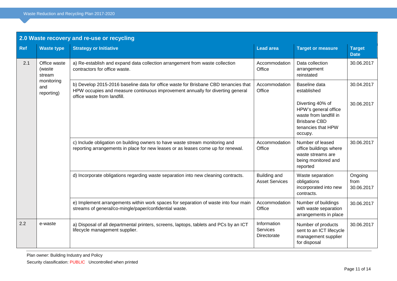| 2.0 Waste recovery and re-use or recycling |                                  |                                                                                                                                                                                                      |                                        |                                                                                                                            |                               |  |
|--------------------------------------------|----------------------------------|------------------------------------------------------------------------------------------------------------------------------------------------------------------------------------------------------|----------------------------------------|----------------------------------------------------------------------------------------------------------------------------|-------------------------------|--|
| <b>Ref</b>                                 | <b>Waste type</b>                | <b>Strategy or Initiative</b>                                                                                                                                                                        | <b>Lead area</b>                       | <b>Target or measure</b>                                                                                                   | <b>Target</b><br><b>Date</b>  |  |
| 2.1                                        | Office waste<br>(waste<br>stream | a) Re-establish and expand data collection arrangement from waste collection<br>contractors for office waste.                                                                                        | Accommodation<br>Office                | Data collection<br>arrangement<br>reinstated                                                                               | 30.06.2017                    |  |
|                                            | monitoring<br>and<br>reporting)  | b) Develop 2015-2016 baseline data for office waste for Brisbane CBD tenancies that<br>HPW occupies and measure continuous improvement annually for diverting general<br>office waste from landfill. | Accommodation<br>Office                | Baseline data<br>established                                                                                               | 30.04.2017                    |  |
|                                            |                                  |                                                                                                                                                                                                      |                                        | Diverting 40% of<br>HPW's general office<br>waste from landfill in<br><b>Brisbane CBD</b><br>tenancies that HPW<br>occupy. | 30.06.2017                    |  |
|                                            |                                  | c) Include obligation on building owners to have waste stream monitoring and<br>reporting arrangements in place for new leases or as leases come up for renewal.                                     | Accommodation<br>Office                | Number of leased<br>office buildings where<br>waste streams are<br>being monitored and<br>reported                         | 30.06.2017                    |  |
|                                            |                                  | d) Incorporate obligations regarding waste separation into new cleaning contracts.                                                                                                                   | Building and<br><b>Asset Services</b>  | Waste separation<br>obligations<br>incorporated into new<br>contracts.                                                     | Ongoing<br>from<br>30.06.2017 |  |
|                                            |                                  | e) Implement arrangements within work spaces for separation of waste into four main<br>streams of general/co-mingle/paper/confidential waste.                                                        | Accommodation<br>Office                | Number of buildings<br>with waste separation<br>arrangements in place                                                      | 30.06.2017                    |  |
| 2.2                                        | e-waste                          | a) Disposal of all departmental printers, screens, laptops, tablets and PCs by an ICT<br>lifecycle management supplier.                                                                              | Information<br>Services<br>Directorate | Number of products<br>sent to an ICT lifecycle<br>management supplier<br>for disposal                                      | 30.06.2017                    |  |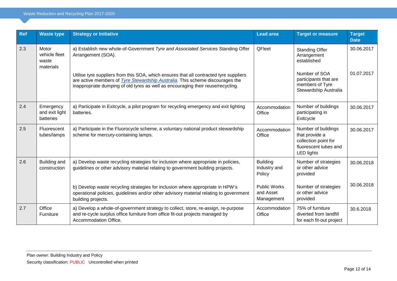| Ref | <b>Waste type</b>                            | <b>Strategy or Initiative</b>                                                                                                                                                                                                                                       | <b>Lead area</b>                               | <b>Target or measure</b>                                                                                    | Target<br><b>Date</b> |
|-----|----------------------------------------------|---------------------------------------------------------------------------------------------------------------------------------------------------------------------------------------------------------------------------------------------------------------------|------------------------------------------------|-------------------------------------------------------------------------------------------------------------|-----------------------|
| 2.3 | Motor<br>vehicle fleet<br>waste<br>materials | a) Establish new whole-of-Government Tyre and Associated Services Standing Offer<br>Arrangement (SOA).                                                                                                                                                              | QFleet                                         | <b>Standing Offer</b><br>Arrangement<br>established                                                         | 30.06.2017            |
|     |                                              | Utilise tyre suppliers from this SOA, which ensures that all contracted tyre suppliers<br>are active members of <i>Tyre Stewardship Australia</i> . This scheme discourages the<br>inappropriate dumping of old tyres as well as encouraging their reuse/recycling. |                                                | Number of SOA<br>participants that are<br>members of Tyre<br>Stewardship Australia                          | 01.07.2017            |
| 2.4 | Emergency<br>and exit light<br>batteries     | a) Participate in Exitcycle, a pilot program for recycling emergency and exit lighting<br>batteries.                                                                                                                                                                | Accommodation<br>Office                        | Number of buildings<br>participating in<br>Exitcycle                                                        | 30.06.2017            |
| 2.5 | Fluorescent<br>tubes/lamps                   | a) Participate in the Fluorocycle scheme, a voluntary national product stewardship<br>scheme for mercury-containing lamps.                                                                                                                                          | Accommodation<br>Office                        | Number of buildings<br>that provide a<br>collection point for<br>fluorescent tubes and<br><b>LED lights</b> | 30.06.2017            |
| 2.6 | Building and<br>construction                 | a) Develop waste recycling strategies for inclusion where appropriate in policies,<br>guidelines or other advisory material relating to government building projects.                                                                                               | <b>Building</b><br>Industry and<br>Policy      | Number of strategies<br>or other advice<br>provided                                                         | 30.06.2018            |
|     |                                              | b) Develop waste recycling strategies for inclusion where appropriate in HPW's<br>operational policies, guidelines and/or other advisory material relating to government<br>building projects.                                                                      | <b>Public Works</b><br>and Asset<br>Management | Number of strategies<br>or other advice<br>provided                                                         | 30.06.2018            |
| 2.7 | Office<br>Furniture                          | a) Develop a whole-of-government strategy to collect, store, re-assign, re-purpose<br>and re-cycle surplus office furniture from office fit-out projects managed by<br>Accommodation Office.                                                                        | Accommodation<br>Office                        | 75% of furniture<br>diverted from landfill<br>for each fit-out project                                      | 30.6.2018             |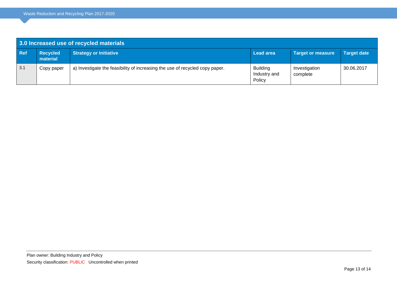| 3.0 Increased use of recycled materials |                      |                                                                              |                                           |                           |                    |  |
|-----------------------------------------|----------------------|------------------------------------------------------------------------------|-------------------------------------------|---------------------------|--------------------|--|
| <b>Ref</b>                              | Recycled<br>material | <b>Strategy or Initiative</b>                                                | <b>Lead area</b>                          | <b>Target or measure</b>  | <b>Target date</b> |  |
| 3.1                                     | Copy paper           | a) Investigate the feasibility of increasing the use of recycled copy paper. | <b>Building</b><br>Industry and<br>Policy | Investigation<br>complete | 30.06.2017         |  |